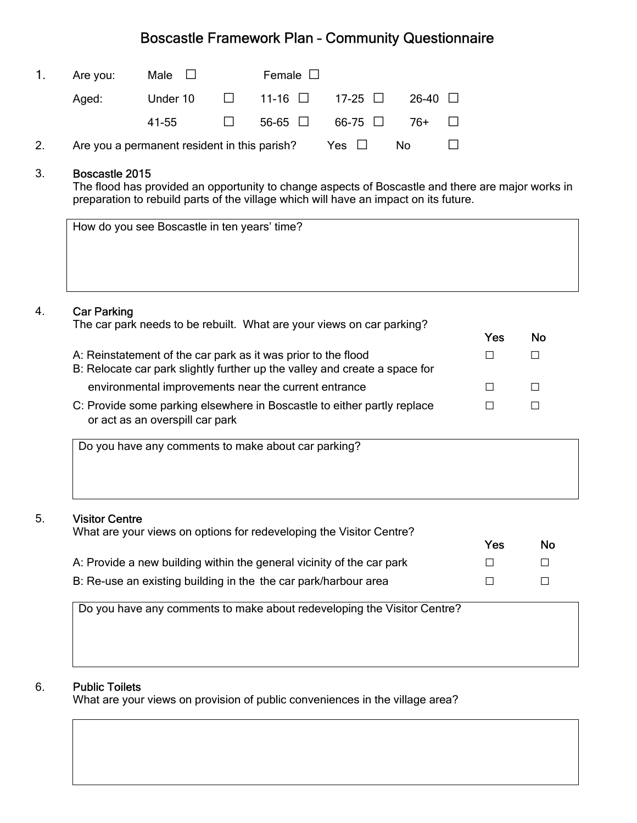# Boscastle Framework Plan – Community Questionnaire

| 1. | Are you: | Male $\Box$                                  |                              | Female $\Box$ |         |                |  |
|----|----------|----------------------------------------------|------------------------------|---------------|---------|----------------|--|
|    | Aged:    | Under 10 $\Box$ 11-16 $\Box$ 17-25 $\Box$    |                              |               |         | $26-40$ $\Box$ |  |
|    |          | 41-55                                        | and the contract of the con- | 56-65 □       | 66-75 □ | - 76+          |  |
|    |          | Are you a permanent resident in this parish? |                              |               | Yes ⊔   | No             |  |

## 3. Boscastle 2015

 The flood has provided an opportunity to change aspects of Boscastle and there are major works in preparation to rebuild parts of the village which will have an impact on its future.

| How do you see Boscastle in ten years' time? |  |
|----------------------------------------------|--|
|                                              |  |
|                                              |  |
|                                              |  |

## 4. Car Parking

| The car park needs to be rebuilt. What are your views on car parking?                                                                       |     |    |
|---------------------------------------------------------------------------------------------------------------------------------------------|-----|----|
|                                                                                                                                             | Yes | Nο |
| A: Reinstatement of the car park as it was prior to the flood<br>B: Relocate car park slightly further up the valley and create a space for |     |    |
| environmental improvements near the current entrance                                                                                        |     |    |
| C: Provide some parking elsewhere in Boscastle to either partly replace<br>or act as an overspill car park                                  |     |    |

Do you have any comments to make about car parking?

#### 5. Visitor Centre

| What are your views on options for redeveloping the Visitor Centre?   |              |           |
|-----------------------------------------------------------------------|--------------|-----------|
|                                                                       | Yes          | <b>No</b> |
| A: Provide a new building within the general vicinity of the car park | $\mathsf{L}$ | $\perp$   |
| B: Re-use an existing building in the the car park/harbour area       |              | $\Box$    |

Do you have any comments to make about redeveloping the Visitor Centre?

### 6. Public Toilets

What are your views on provision of public conveniences in the village area?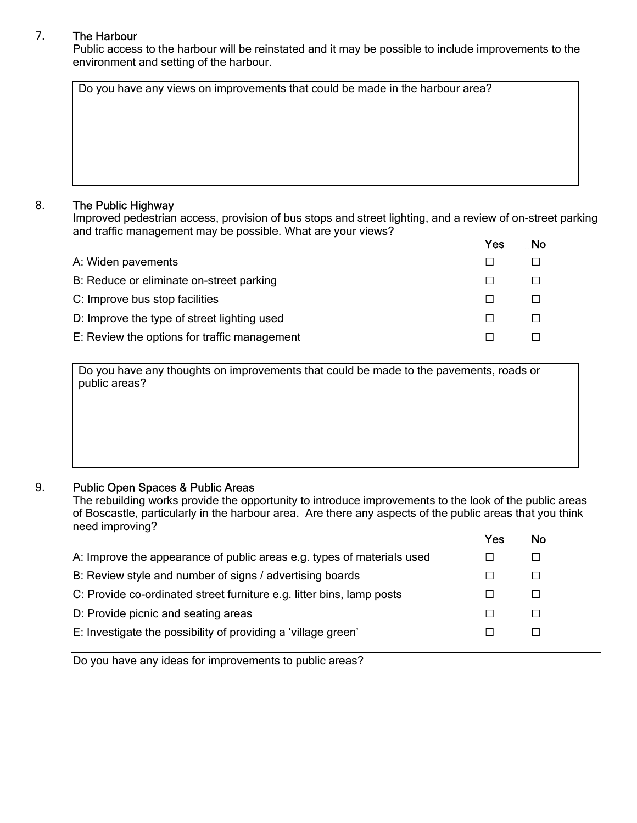# 7. The Harbour

 Public access to the harbour will be reinstated and it may be possible to include improvements to the environment and setting of the harbour.

| Do you have any views on improvements that could be made in the harbour area? |  |  |  |
|-------------------------------------------------------------------------------|--|--|--|
|                                                                               |  |  |  |
|                                                                               |  |  |  |
|                                                                               |  |  |  |
|                                                                               |  |  |  |
|                                                                               |  |  |  |

## 8. The Public Highway

 Improved pedestrian access, provision of bus stops and street lighting, and a review of on-street parking and traffic management may be possible. What are your views?

|                                              | Yes    | Nο |
|----------------------------------------------|--------|----|
| A: Widen pavements                           |        |    |
| B: Reduce or eliminate on-street parking     |        |    |
| C: Improve bus stop facilities               |        |    |
| D: Improve the type of street lighting used  | $\Box$ |    |
| E: Review the options for traffic management |        |    |
|                                              |        |    |

Do you have any thoughts on improvements that could be made to the pavements, roads or public areas?

# 9. Public Open Spaces & Public Areas

The rebuilding works provide the opportunity to introduce improvements to the look of the public areas of Boscastle, particularly in the harbour area. Are there any aspects of the public areas that you think need improving?

|                                                                        | Yes |  |
|------------------------------------------------------------------------|-----|--|
| A: Improve the appearance of public areas e.g. types of materials used |     |  |
| B: Review style and number of signs / advertising boards               |     |  |
| C: Provide co-ordinated street furniture e.g. litter bins, lamp posts  |     |  |
| D: Provide picnic and seating areas                                    |     |  |
| E: Investigate the possibility of providing a 'village green'          |     |  |
|                                                                        |     |  |

Do you have any ideas for improvements to public areas?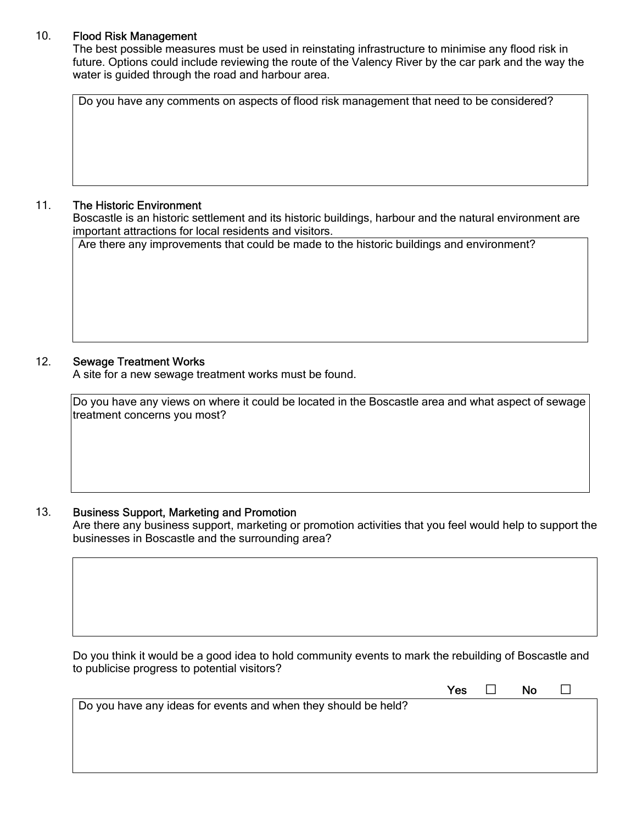## 10. Flood Risk Management

 The best possible measures must be used in reinstating infrastructure to minimise any flood risk in future. Options could include reviewing the route of the Valency River by the car park and the way the water is guided through the road and harbour area.

Do you have any comments on aspects of flood risk management that need to be considered?

#### 11. The Historic Environment

 Boscastle is an historic settlement and its historic buildings, harbour and the natural environment are important attractions for local residents and visitors.

Are there any improvements that could be made to the historic buildings and environment?

#### 12. Sewage Treatment Works

A site for a new sewage treatment works must be found.

Do you have any views on where it could be located in the Boscastle area and what aspect of sewage treatment concerns you most?

## 13. Business Support, Marketing and Promotion

 Are there any business support, marketing or promotion activities that you feel would help to support the businesses in Boscastle and the surrounding area?

Do you think it would be a good idea to hold community events to mark the rebuilding of Boscastle and to publicise progress to potential visitors?

|                                                                | <b>Yes</b> | $\Box$ | No |  |
|----------------------------------------------------------------|------------|--------|----|--|
| Do you have any ideas for events and when they should be held? |            |        |    |  |
|                                                                |            |        |    |  |